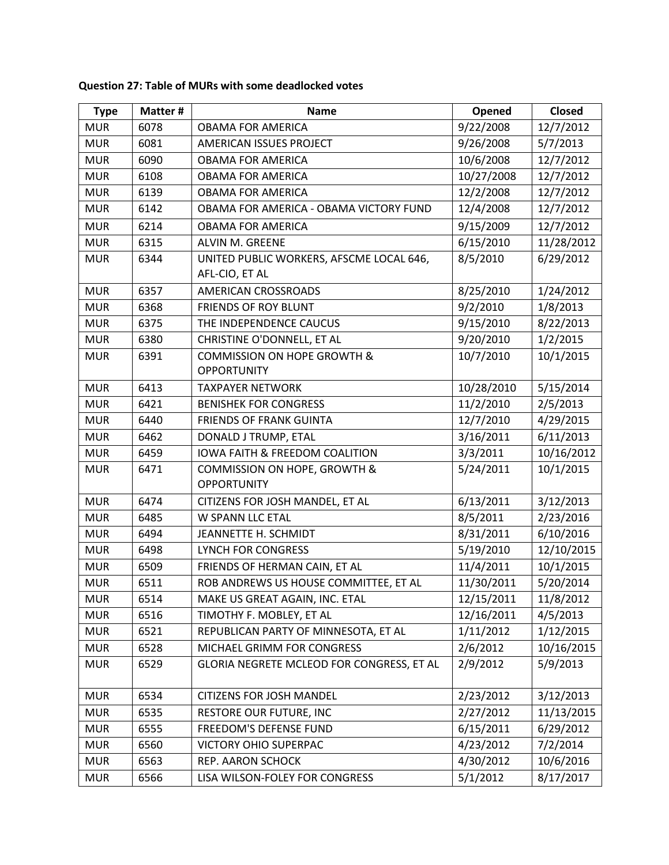| <b>Type</b> | Matter # | <b>Name</b>                                                | Opened     | <b>Closed</b> |
|-------------|----------|------------------------------------------------------------|------------|---------------|
| <b>MUR</b>  | 6078     | <b>OBAMA FOR AMERICA</b>                                   | 9/22/2008  | 12/7/2012     |
| <b>MUR</b>  | 6081     | AMERICAN ISSUES PROJECT                                    | 9/26/2008  | 5/7/2013      |
| <b>MUR</b>  | 6090     | <b>OBAMA FOR AMERICA</b>                                   | 10/6/2008  | 12/7/2012     |
| <b>MUR</b>  | 6108     | <b>OBAMA FOR AMERICA</b>                                   | 10/27/2008 | 12/7/2012     |
| <b>MUR</b>  | 6139     | <b>OBAMA FOR AMERICA</b>                                   | 12/2/2008  | 12/7/2012     |
| <b>MUR</b>  | 6142     | OBAMA FOR AMERICA - OBAMA VICTORY FUND                     | 12/4/2008  | 12/7/2012     |
| <b>MUR</b>  | 6214     | <b>OBAMA FOR AMERICA</b>                                   | 9/15/2009  | 12/7/2012     |
| <b>MUR</b>  | 6315     | ALVIN M. GREENE                                            | 6/15/2010  | 11/28/2012    |
| <b>MUR</b>  | 6344     | UNITED PUBLIC WORKERS, AFSCME LOCAL 646,<br>AFL-CIO, ET AL | 8/5/2010   | 6/29/2012     |
| <b>MUR</b>  | 6357     | AMERICAN CROSSROADS                                        | 8/25/2010  | 1/24/2012     |
| <b>MUR</b>  | 6368     | <b>FRIENDS OF ROY BLUNT</b>                                | 9/2/2010   | 1/8/2013      |
| <b>MUR</b>  | 6375     | THE INDEPENDENCE CAUCUS                                    | 9/15/2010  | 8/22/2013     |
| <b>MUR</b>  | 6380     | CHRISTINE O'DONNELL, ET AL                                 | 9/20/2010  | 1/2/2015      |
| <b>MUR</b>  | 6391     | COMMISSION ON HOPE GROWTH &<br><b>OPPORTUNITY</b>          | 10/7/2010  | 10/1/2015     |
| <b>MUR</b>  | 6413     | <b>TAXPAYER NETWORK</b>                                    | 10/28/2010 | 5/15/2014     |
| <b>MUR</b>  | 6421     | <b>BENISHEK FOR CONGRESS</b>                               | 11/2/2010  | 2/5/2013      |
| <b>MUR</b>  | 6440     | <b>FRIENDS OF FRANK GUINTA</b>                             | 12/7/2010  | 4/29/2015     |
| <b>MUR</b>  | 6462     | DONALD J TRUMP, ETAL                                       | 3/16/2011  | 6/11/2013     |
| <b>MUR</b>  | 6459     | <b>IOWA FAITH &amp; FREEDOM COALITION</b>                  | 3/3/2011   | 10/16/2012    |
| <b>MUR</b>  | 6471     | COMMISSION ON HOPE, GROWTH &<br><b>OPPORTUNITY</b>         | 5/24/2011  | 10/1/2015     |
| <b>MUR</b>  | 6474     | CITIZENS FOR JOSH MANDEL, ET AL                            | 6/13/2011  | 3/12/2013     |
| <b>MUR</b>  | 6485     | W SPANN LLC ETAL                                           | 8/5/2011   | 2/23/2016     |
| <b>MUR</b>  | 6494     | JEANNETTE H. SCHMIDT                                       | 8/31/2011  | 6/10/2016     |
| <b>MUR</b>  | 6498     | <b>LYNCH FOR CONGRESS</b>                                  | 5/19/2010  | 12/10/2015    |
| <b>MUR</b>  | 6509     | FRIENDS OF HERMAN CAIN, ET AL                              | 11/4/2011  | 10/1/2015     |
| <b>MUR</b>  | 6511     | ROB ANDREWS US HOUSE COMMITTEE, ET AL                      | 11/30/2011 | 5/20/2014     |
| <b>MUR</b>  | 6514     | MAKE US GREAT AGAIN, INC. ETAL                             | 12/15/2011 | 11/8/2012     |
| <b>MUR</b>  | 6516     | TIMOTHY F. MOBLEY, ET AL                                   | 12/16/2011 | 4/5/2013      |
| <b>MUR</b>  | 6521     | REPUBLICAN PARTY OF MINNESOTA, ET AL                       | 1/11/2012  | 1/12/2015     |
| <b>MUR</b>  | 6528     | MICHAEL GRIMM FOR CONGRESS                                 | 2/6/2012   | 10/16/2015    |
| <b>MUR</b>  | 6529     | GLORIA NEGRETE MCLEOD FOR CONGRESS, ET AL                  | 2/9/2012   | 5/9/2013      |
| <b>MUR</b>  | 6534     | <b>CITIZENS FOR JOSH MANDEL</b>                            | 2/23/2012  | 3/12/2013     |
| <b>MUR</b>  | 6535     | <b>RESTORE OUR FUTURE, INC</b>                             | 2/27/2012  | 11/13/2015    |
| <b>MUR</b>  | 6555     | FREEDOM'S DEFENSE FUND                                     | 6/15/2011  | 6/29/2012     |
| <b>MUR</b>  | 6560     | <b>VICTORY OHIO SUPERPAC</b>                               | 4/23/2012  | 7/2/2014      |
| <b>MUR</b>  | 6563     | REP. AARON SCHOCK                                          | 4/30/2012  | 10/6/2016     |
| <b>MUR</b>  | 6566     | LISA WILSON-FOLEY FOR CONGRESS                             | 5/1/2012   | 8/17/2017     |

## **Question 27: Table of MURs with some deadlocked votes**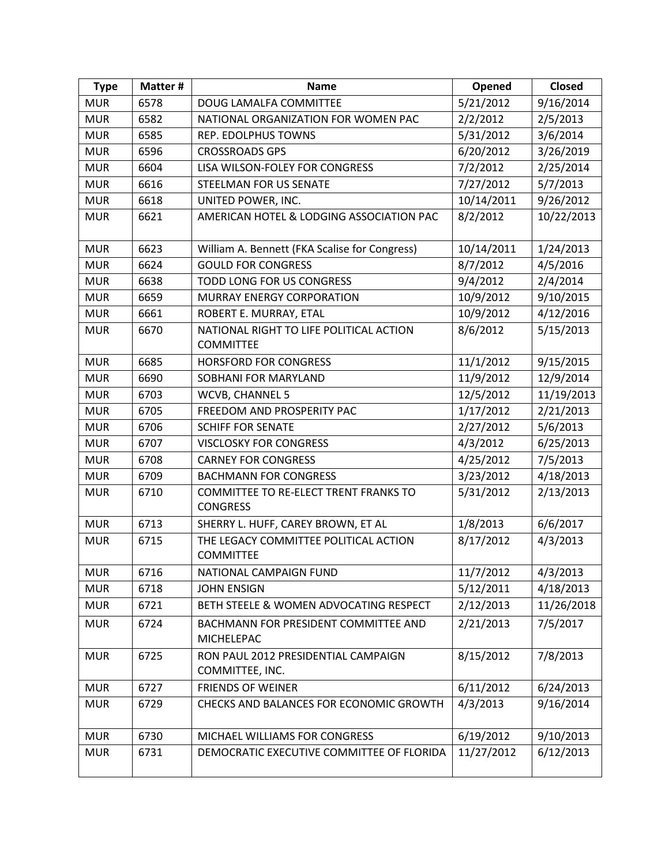| <b>Type</b> | Matter # | <b>Name</b>                                                 | Opened     | <b>Closed</b>        |
|-------------|----------|-------------------------------------------------------------|------------|----------------------|
| <b>MUR</b>  | 6578     | DOUG LAMALFA COMMITTEE                                      | 5/21/2012  | 9/16/2014            |
| <b>MUR</b>  | 6582     | NATIONAL ORGANIZATION FOR WOMEN PAC                         | 2/2/2012   | 2/5/2013             |
| <b>MUR</b>  | 6585     | <b>REP. EDOLPHUS TOWNS</b>                                  | 5/31/2012  | 3/6/2014             |
| <b>MUR</b>  | 6596     | <b>CROSSROADS GPS</b>                                       | 6/20/2012  | 3/26/2019            |
| <b>MUR</b>  | 6604     | LISA WILSON-FOLEY FOR CONGRESS                              | 7/2/2012   | 2/25/2014            |
| <b>MUR</b>  | 6616     | <b>STEELMAN FOR US SENATE</b>                               | 7/27/2012  | 5/7/2013             |
| <b>MUR</b>  | 6618     | UNITED POWER, INC.                                          | 10/14/2011 | 9/26/2012            |
| <b>MUR</b>  | 6621     | AMERICAN HOTEL & LODGING ASSOCIATION PAC                    | 8/2/2012   | 10/22/2013           |
| <b>MUR</b>  | 6623     | William A. Bennett (FKA Scalise for Congress)               | 10/14/2011 | 1/24/2013            |
| <b>MUR</b>  | 6624     | <b>GOULD FOR CONGRESS</b>                                   | 8/7/2012   | 4/5/2016             |
| <b>MUR</b>  | 6638     | TODD LONG FOR US CONGRESS                                   | 9/4/2012   | 2/4/2014             |
| <b>MUR</b>  | 6659     | MURRAY ENERGY CORPORATION                                   | 10/9/2012  | 9/10/2015            |
| <b>MUR</b>  | 6661     | ROBERT E. MURRAY, ETAL                                      | 10/9/2012  | 4/12/2016            |
| <b>MUR</b>  | 6670     | NATIONAL RIGHT TO LIFE POLITICAL ACTION<br><b>COMMITTEE</b> | 8/6/2012   | 5/15/2013            |
| <b>MUR</b>  | 6685     | <b>HORSFORD FOR CONGRESS</b>                                | 11/1/2012  | 9/15/2015            |
| <b>MUR</b>  | 6690     | <b>SOBHANI FOR MARYLAND</b>                                 | 11/9/2012  | 12/9/2014            |
| <b>MUR</b>  | 6703     | WCVB, CHANNEL 5                                             | 12/5/2012  | 11/19/2013           |
| <b>MUR</b>  | 6705     | FREEDOM AND PROSPERITY PAC                                  | 1/17/2012  | 2/21/2013            |
| <b>MUR</b>  | 6706     | <b>SCHIFF FOR SENATE</b>                                    | 2/27/2012  | 5/6/2013             |
| <b>MUR</b>  | 6707     | <b>VISCLOSKY FOR CONGRESS</b>                               | 4/3/2012   | 6/25/2013            |
| <b>MUR</b>  | 6708     | <b>CARNEY FOR CONGRESS</b>                                  | 4/25/2012  | 7/5/2013             |
| <b>MUR</b>  | 6709     | <b>BACHMANN FOR CONGRESS</b>                                | 3/23/2012  | 4/18/2013            |
| <b>MUR</b>  | 6710     | COMMITTEE TO RE-ELECT TRENT FRANKS TO<br><b>CONGRESS</b>    | 5/31/2012  | 2/13/2013            |
| <b>MUR</b>  | 6713     | SHERRY L. HUFF, CAREY BROWN, ET AL                          | 1/8/2013   | 6/6/2017             |
| <b>MUR</b>  | 6715     | THE LEGACY COMMITTEE POLITICAL ACTION<br><b>COMMITTEE</b>   | 8/17/2012  | 4/3/2013             |
| <b>MUR</b>  | 6716     | NATIONAL CAMPAIGN FUND                                      | 11/7/2012  | $\frac{1}{4}/3/2013$ |
| <b>MUR</b>  | 6718     | <b>JOHN ENSIGN</b>                                          | 5/12/2011  | 4/18/2013            |
| <b>MUR</b>  | 6721     | BETH STEELE & WOMEN ADVOCATING RESPECT                      | 2/12/2013  | 11/26/2018           |
| <b>MUR</b>  | 6724     | <b>BACHMANN FOR PRESIDENT COMMITTEE AND</b><br>MICHELEPAC   | 2/21/2013  | 7/5/2017             |
| <b>MUR</b>  | 6725     | RON PAUL 2012 PRESIDENTIAL CAMPAIGN<br>COMMITTEE, INC.      | 8/15/2012  | 7/8/2013             |
| <b>MUR</b>  | 6727     | <b>FRIENDS OF WEINER</b>                                    | 6/11/2012  | 6/24/2013            |
| <b>MUR</b>  | 6729     | CHECKS AND BALANCES FOR ECONOMIC GROWTH                     | 4/3/2013   | 9/16/2014            |
| <b>MUR</b>  | 6730     | MICHAEL WILLIAMS FOR CONGRESS                               | 6/19/2012  | 9/10/2013            |
| <b>MUR</b>  | 6731     | DEMOCRATIC EXECUTIVE COMMITTEE OF FLORIDA                   | 11/27/2012 | 6/12/2013            |
|             |          |                                                             |            |                      |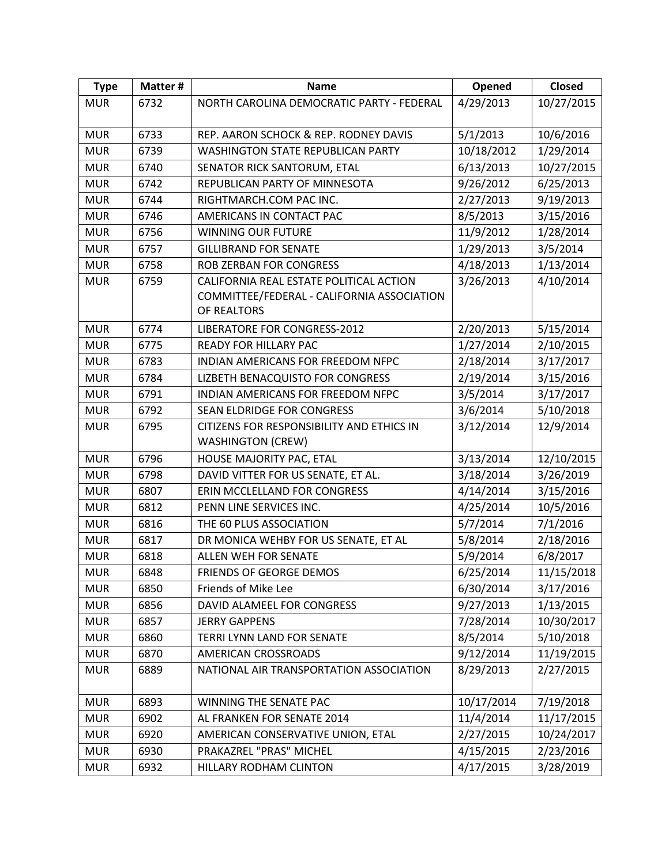| 10/27/2015 |
|------------|
|            |
|            |
| 10/6/2016  |
| 1/29/2014  |
| 10/27/2015 |
| 6/25/2013  |
| 9/19/2013  |
| 3/15/2016  |
| 1/28/2014  |
| 3/5/2014   |
| 1/13/2014  |
| 4/10/2014  |
|            |
|            |
| 5/15/2014  |
| 2/10/2015  |
| 3/17/2017  |
| 3/15/2016  |
| 3/17/2017  |
| 5/10/2018  |
| 12/9/2014  |
|            |
| 12/10/2015 |
| 3/26/2019  |
| 3/15/2016  |
| 10/5/2016  |
| 7/1/2016   |
| 2/18/2016  |
| 6/8/2017   |
| 11/15/2018 |
| 3/17/2016  |
| 1/13/2015  |
| 10/30/2017 |
| 5/10/2018  |
| 11/19/2015 |
| 2/27/2015  |
| 7/19/2018  |
| 11/17/2015 |
| 10/24/2017 |
| 2/23/2016  |
| 3/28/2019  |
|            |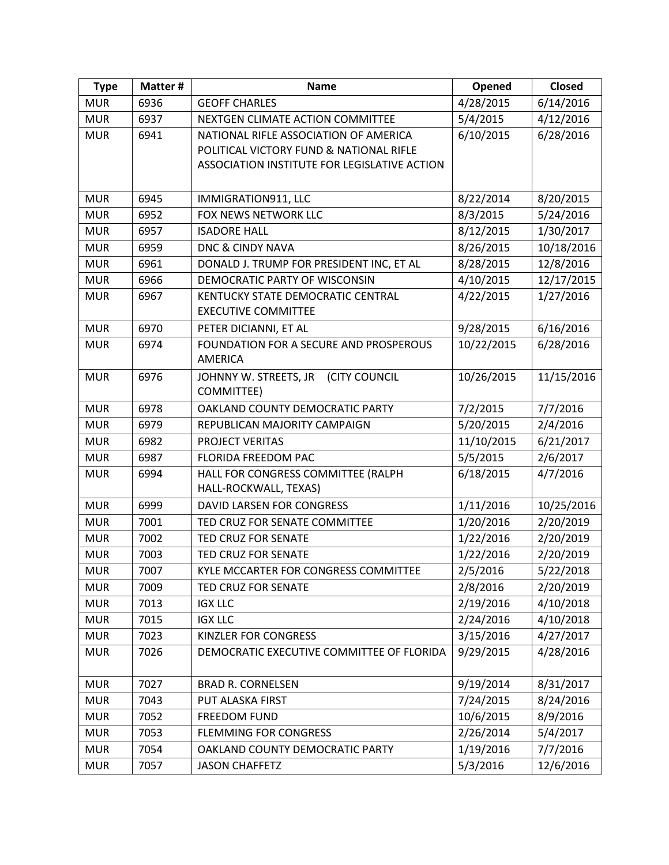| <b>Type</b> | Matter # | <b>Name</b>                                                 | Opened     | <b>Closed</b> |
|-------------|----------|-------------------------------------------------------------|------------|---------------|
| <b>MUR</b>  | 6936     | <b>GEOFF CHARLES</b>                                        | 4/28/2015  | 6/14/2016     |
| <b>MUR</b>  | 6937     | NEXTGEN CLIMATE ACTION COMMITTEE                            | 5/4/2015   | 4/12/2016     |
| <b>MUR</b>  | 6941     | NATIONAL RIFLE ASSOCIATION OF AMERICA                       | 6/10/2015  | 6/28/2016     |
|             |          | POLITICAL VICTORY FUND & NATIONAL RIFLE                     |            |               |
|             |          | ASSOCIATION INSTITUTE FOR LEGISLATIVE ACTION                |            |               |
|             |          |                                                             |            |               |
| <b>MUR</b>  | 6945     | IMMIGRATION911, LLC                                         | 8/22/2014  | 8/20/2015     |
| <b>MUR</b>  | 6952     | <b>FOX NEWS NETWORK LLC</b>                                 | 8/3/2015   | 5/24/2016     |
| <b>MUR</b>  | 6957     | <b>ISADORE HALL</b>                                         | 8/12/2015  | 1/30/2017     |
| <b>MUR</b>  | 6959     | <b>DNC &amp; CINDY NAVA</b>                                 | 8/26/2015  | 10/18/2016    |
| <b>MUR</b>  | 6961     | DONALD J. TRUMP FOR PRESIDENT INC, ET AL                    | 8/28/2015  | 12/8/2016     |
| <b>MUR</b>  | 6966     | DEMOCRATIC PARTY OF WISCONSIN                               | 4/10/2015  | 12/17/2015    |
| <b>MUR</b>  | 6967     | KENTUCKY STATE DEMOCRATIC CENTRAL                           | 4/22/2015  | 1/27/2016     |
|             |          | <b>EXECUTIVE COMMITTEE</b>                                  |            |               |
| <b>MUR</b>  | 6970     | PETER DICIANNI, ET AL                                       | 9/28/2015  | 6/16/2016     |
| <b>MUR</b>  | 6974     | FOUNDATION FOR A SECURE AND PROSPEROUS                      | 10/22/2015 | 6/28/2016     |
|             |          | <b>AMERICA</b>                                              |            |               |
| <b>MUR</b>  | 6976     | JOHNNY W. STREETS, JR (CITY COUNCIL                         | 10/26/2015 | 11/15/2016    |
|             |          | COMMITTEE)                                                  |            |               |
| <b>MUR</b>  | 6978     | OAKLAND COUNTY DEMOCRATIC PARTY                             | 7/2/2015   | 7/7/2016      |
| <b>MUR</b>  | 6979     | REPUBLICAN MAJORITY CAMPAIGN                                | 5/20/2015  | 2/4/2016      |
| <b>MUR</b>  | 6982     | PROJECT VERITAS                                             | 11/10/2015 | 6/21/2017     |
| <b>MUR</b>  | 6987     | <b>FLORIDA FREEDOM PAC</b>                                  | 5/5/2015   | 2/6/2017      |
| <b>MUR</b>  | 6994     | HALL FOR CONGRESS COMMITTEE (RALPH<br>HALL-ROCKWALL, TEXAS) | 6/18/2015  | 4/7/2016      |
| <b>MUR</b>  | 6999     | DAVID LARSEN FOR CONGRESS                                   | 1/11/2016  | 10/25/2016    |
| <b>MUR</b>  | 7001     | TED CRUZ FOR SENATE COMMITTEE                               | 1/20/2016  | 2/20/2019     |
| <b>MUR</b>  | 7002     | <b>TED CRUZ FOR SENATE</b>                                  | 1/22/2016  | 2/20/2019     |
| <b>MUR</b>  | 7003     | TED CRUZ FOR SENATE                                         | 1/22/2016  | 2/20/2019     |
| <b>MUR</b>  | 7007     | KYLE MCCARTER FOR CONGRESS COMMITTEE                        | 2/5/2016   | 5/22/2018     |
| <b>MUR</b>  | 7009     | TED CRUZ FOR SENATE                                         | 2/8/2016   | 2/20/2019     |
| <b>MUR</b>  | 7013     | <b>IGX LLC</b>                                              | 2/19/2016  | 4/10/2018     |
| <b>MUR</b>  | 7015     | <b>IGX LLC</b>                                              | 2/24/2016  | 4/10/2018     |
| <b>MUR</b>  | 7023     | <b>KINZLER FOR CONGRESS</b>                                 | 3/15/2016  | 4/27/2017     |
| <b>MUR</b>  | 7026     | DEMOCRATIC EXECUTIVE COMMITTEE OF FLORIDA                   | 9/29/2015  | 4/28/2016     |
|             |          |                                                             |            |               |
| <b>MUR</b>  | 7027     | <b>BRAD R. CORNELSEN</b>                                    | 9/19/2014  | 8/31/2017     |
| <b>MUR</b>  | 7043     | PUT ALASKA FIRST                                            | 7/24/2015  | 8/24/2016     |
| <b>MUR</b>  | 7052     | <b>FREEDOM FUND</b>                                         | 10/6/2015  | 8/9/2016      |
| <b>MUR</b>  | 7053     | <b>FLEMMING FOR CONGRESS</b>                                | 2/26/2014  | 5/4/2017      |
| <b>MUR</b>  | 7054     | OAKLAND COUNTY DEMOCRATIC PARTY                             | 1/19/2016  | 7/7/2016      |
| <b>MUR</b>  | 7057     | <b>JASON CHAFFETZ</b>                                       | 5/3/2016   | 12/6/2016     |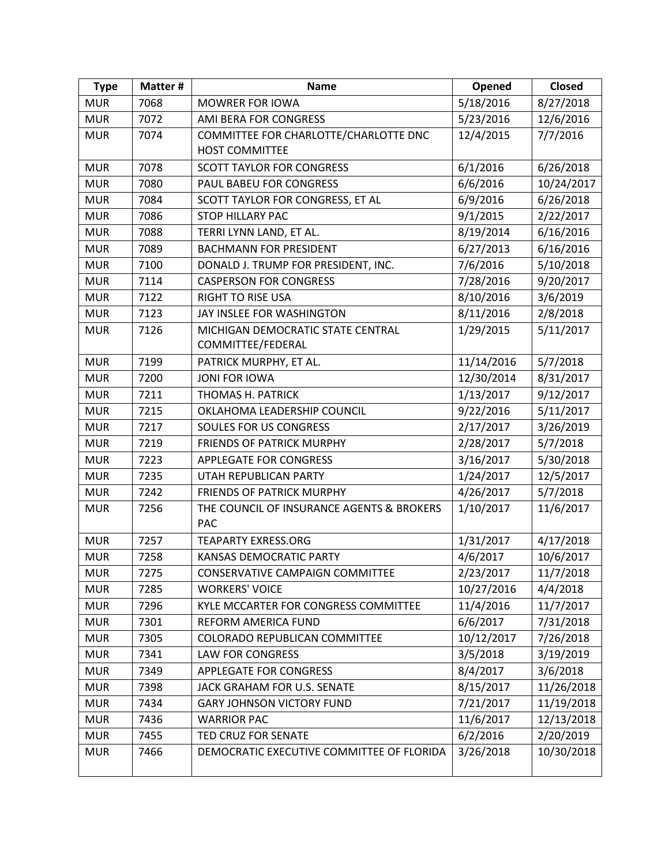| <b>Type</b> | Matter # | <b>Name</b>                               | Opened     | <b>Closed</b> |
|-------------|----------|-------------------------------------------|------------|---------------|
| <b>MUR</b>  | 7068     | <b>MOWRER FOR IOWA</b>                    | 5/18/2016  | 8/27/2018     |
| <b>MUR</b>  | 7072     | <b>AMI BERA FOR CONGRESS</b>              | 5/23/2016  | 12/6/2016     |
| <b>MUR</b>  | 7074     | COMMITTEE FOR CHARLOTTE/CHARLOTTE DNC     | 12/4/2015  | 7/7/2016      |
|             |          | <b>HOST COMMITTEE</b>                     |            |               |
| <b>MUR</b>  | 7078     | <b>SCOTT TAYLOR FOR CONGRESS</b>          | 6/1/2016   | 6/26/2018     |
| <b>MUR</b>  | 7080     | PAUL BABEU FOR CONGRESS                   | 6/6/2016   | 10/24/2017    |
| <b>MUR</b>  | 7084     | SCOTT TAYLOR FOR CONGRESS, ET AL          | 6/9/2016   | 6/26/2018     |
| <b>MUR</b>  | 7086     | <b>STOP HILLARY PAC</b>                   | 9/1/2015   | 2/22/2017     |
| <b>MUR</b>  | 7088     | TERRI LYNN LAND, ET AL.                   | 8/19/2014  | 6/16/2016     |
| <b>MUR</b>  | 7089     | <b>BACHMANN FOR PRESIDENT</b>             | 6/27/2013  | 6/16/2016     |
| <b>MUR</b>  | 7100     | DONALD J. TRUMP FOR PRESIDENT, INC.       | 7/6/2016   | 5/10/2018     |
| <b>MUR</b>  | 7114     | <b>CASPERSON FOR CONGRESS</b>             | 7/28/2016  | 9/20/2017     |
| <b>MUR</b>  | 7122     | <b>RIGHT TO RISE USA</b>                  | 8/10/2016  | 3/6/2019      |
| <b>MUR</b>  | 7123     | JAY INSLEE FOR WASHINGTON                 | 8/11/2016  | 2/8/2018      |
| <b>MUR</b>  | 7126     | MICHIGAN DEMOCRATIC STATE CENTRAL         | 1/29/2015  | 5/11/2017     |
|             |          | COMMITTEE/FEDERAL                         |            |               |
| <b>MUR</b>  | 7199     | PATRICK MURPHY, ET AL.                    | 11/14/2016 | 5/7/2018      |
| <b>MUR</b>  | 7200     | <b>JONI FOR IOWA</b>                      | 12/30/2014 | 8/31/2017     |
| <b>MUR</b>  | 7211     | THOMAS H. PATRICK                         | 1/13/2017  | 9/12/2017     |
| <b>MUR</b>  | 7215     | OKLAHOMA LEADERSHIP COUNCIL               | 9/22/2016  | 5/11/2017     |
| <b>MUR</b>  | 7217     | SOULES FOR US CONGRESS                    | 2/17/2017  | 3/26/2019     |
| <b>MUR</b>  | 7219     | <b>FRIENDS OF PATRICK MURPHY</b>          | 2/28/2017  | 5/7/2018      |
| <b>MUR</b>  | 7223     | <b>APPLEGATE FOR CONGRESS</b>             | 3/16/2017  | 5/30/2018     |
| <b>MUR</b>  | 7235     | UTAH REPUBLICAN PARTY                     | 1/24/2017  | 12/5/2017     |
| <b>MUR</b>  | 7242     | <b>FRIENDS OF PATRICK MURPHY</b>          | 4/26/2017  | 5/7/2018      |
| <b>MUR</b>  | 7256     | THE COUNCIL OF INSURANCE AGENTS & BROKERS | 1/10/2017  | 11/6/2017     |
|             |          | PAC                                       |            |               |
| <b>MUR</b>  | 7257     | <b>TEAPARTY EXRESS.ORG</b>                | 1/31/2017  | 4/17/2018     |
| <b>MUR</b>  | 7258     | KANSAS DEMOCRATIC PARTY                   | 4/6/2017   | 10/6/2017     |
| <b>MUR</b>  | 7275     | <b>CONSERVATIVE CAMPAIGN COMMITTEE</b>    | 2/23/2017  | 11/7/2018     |
| <b>MUR</b>  | 7285     | <b>WORKERS' VOICE</b>                     | 10/27/2016 | 4/4/2018      |
| <b>MUR</b>  | 7296     | KYLE MCCARTER FOR CONGRESS COMMITTEE      | 11/4/2016  | 11/7/2017     |
| <b>MUR</b>  | 7301     | REFORM AMERICA FUND                       | 6/6/2017   | 7/31/2018     |
| <b>MUR</b>  | 7305     | COLORADO REPUBLICAN COMMITTEE             | 10/12/2017 | 7/26/2018     |
| <b>MUR</b>  | 7341     | <b>LAW FOR CONGRESS</b>                   | 3/5/2018   | 3/19/2019     |
| <b>MUR</b>  | 7349     | <b>APPLEGATE FOR CONGRESS</b>             | 8/4/2017   | 3/6/2018      |
| <b>MUR</b>  | 7398     | JACK GRAHAM FOR U.S. SENATE               | 8/15/2017  | 11/26/2018    |
| <b>MUR</b>  | 7434     | <b>GARY JOHNSON VICTORY FUND</b>          | 7/21/2017  | 11/19/2018    |
| <b>MUR</b>  | 7436     | <b>WARRIOR PAC</b>                        | 11/6/2017  | 12/13/2018    |
| <b>MUR</b>  | 7455     | TED CRUZ FOR SENATE                       | 6/2/2016   | 2/20/2019     |
| <b>MUR</b>  | 7466     | DEMOCRATIC EXECUTIVE COMMITTEE OF FLORIDA | 3/26/2018  | 10/30/2018    |
|             |          |                                           |            |               |